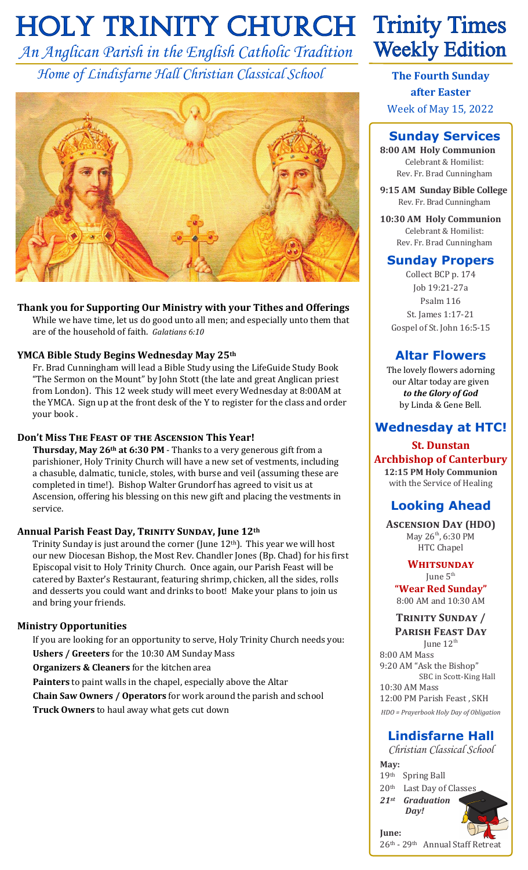# **HOLY TRINITY CHURCH Trinity Times**

*An Anglican Parish in the English Catholic Tradition Home of Lindisfarne Hall Christian Classical School*



**Thank you for Supporting Our Ministry with your Tithes and Offerings** While we have time, let us do good unto all men; and especially unto them that are of the household of faith. *Galatians 6:10*

#### **YMCA Bible Study Begins Wednesday May 25th**

Fr. Brad Cunningham will lead a Bible Study using the LifeGuide Study Book "The Sermon on the Mount" by John Stott (the late and great Anglican priest from London). This 12 week study will meet every Wednesday at 8:00AM at the YMCA. Sign up at the front desk of the Y to register for the class and order your book .

#### **Don't Miss The Feast of the Ascension This Year!**

**Thursday, May 26th at 6:30 PM** - Thanks to a very generous gift from a parishioner, Holy Trinity Church will have a new set of vestments, including a chasuble, dalmatic, tunicle, stoles, with burse and veil (assuming these are completed in time!). Bishop Walter Grundorf has agreed to visit us at Ascension, offering his blessing on this new gift and placing the vestments in service.

#### **Annual Parish Feast Day, Trinity Sunday, June 12th**

Trinity Sunday is just around the corner (June  $12<sup>th</sup>$ ). This year we will host our new Diocesan Bishop, the Most Rev. Chandler Jones (Bp. Chad) for his first Episcopal visit to Holy Trinity Church. Once again, our Parish Feast will be catered by Baxter's Restaurant, featuring shrimp, chicken, all the sides, rolls and desserts you could want and drinks to boot! Make your plans to join us and bring your friends.

#### **Ministry Opportunities**

If you are looking for an opportunity to serve, Holy Trinity Church needs you: **Ushers / Greeters** for the 10:30 AM Sunday Mass

**Organizers & Cleaners** for the kitchen area

**Painters** to paint walls in the chapel, especially above the Altar

**Chain Saw Owners / Operators** for work around the parish and school **Truck Owners** to haul away what gets cut down

# **Weekly Edition**

**The Fourth Sunday after Easter** Week of May 15, 2022

# **Sunday Services**

**8:00 AM Holy Communion** Celebrant & Homilist: Rev. Fr. Brad Cunningham

**9:15 AM Sunday Bible College** Rev. Fr. Brad Cunningham

**10:30 AM Holy Communion** Celebrant & Homilist: Rev. Fr. Brad Cunningham

### **Sunday Propers**

Collect BCP p. 174 Job 19:21-27a Psalm 116 St. James 1:17-21 Gospel of St. John 16:5-15

# **Altar Flowers**

The lovely flowers adorning our Altar today are given *to the Glory of God*  by Linda & Gene Bell.

# **Wednesday at HTC!**

#### **St. Dunstan Archbishop of Canterbury**

**12:15 PM Holy Communion** with the Service of Healing

# **Looking Ahead**

**Ascension Day (HDO)** May  $26^{th}$ , 6:30 PM HTC Chapel

#### **Whitsunday** June  $5<sup>th</sup>$

**"Wear Red Sunday"** 8:00 AM and 10:30 AM

#### **Trinity Sunday / Parish Feast Day**

June 12<sup>th</sup> 8:00 AM Mass 9:20 AM "Ask the Bishop" SBC in Scott-King Hall 10:30 AM Mass

12:00 PM Parish Feast , SKH *HDO = Prayerbook Holy Day of Obligation*

# **Lindisfarne Hall**

*Christian Classical School* **May:**

th Spring Ball th Last Day of Classes *st Graduation Day!* 



**June:** 26th - 29th Annual Staff Retreat